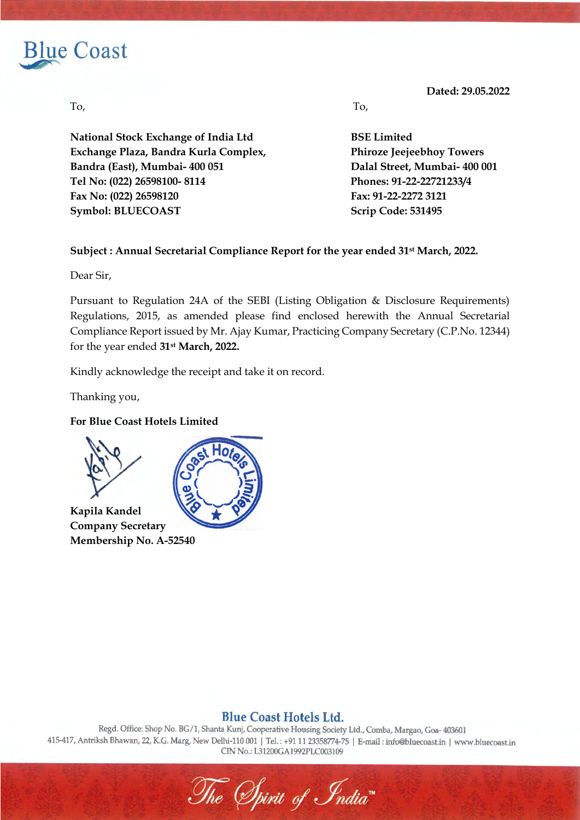

**Dated: 29.05.2022**

**National Stock Exchange of India Ltd BSE Limited Exchange Plaza, Bandra Kurla Complex, Phiroze Jeejeebhoy Towers Bandra (East), Mumbai- 400 051 Dalal Street, Mumbai- 400 001 Tel No: (022) 26598100- 8114 Phones: 91-22-22721233/4 Fax No: (022) 26598120 Fax: 91-22-2272 3121 Symbol: BLUECOAST Scrip Code: 531495** 

To, To,

## **Subject : Annual Secretarial Compliance Report for the year ended 31st March, 2022.**

Dear Sir,

Pursuant to Regulation 24A of the SEBI (Listing Obligation & Disclosure Requirements) Regulations, 2015, as amended please find enclosed herewith the Annual Secretarial Compliance Report issued by Mr. Ajay Kumar, Practicing Company Secretary (C.P.No. 12344) for the year ended **31st March, 2022.** 

Kindly acknowledge the receipt and take it on record.

Thanking you,

### **For Blue Coast Hotels Limited**



### **Blue Coast Hotels Ltd.**

Regd. Office: Shop No. BG/1, Shanta Kunj, Cooperative Housing Society Ltd., Comba, Margao, Goa- 403601 415-417, Antriksh Bhawan, 22, K.G. Marg, New Delhi-110 001 | Tel.: +91 11 23358774-75 | E-mail: info@bluecoast.in | www.bluecoast.in CIN No.: L31200GA1992PLC003109

The Spirit of India<sup>\*</sup>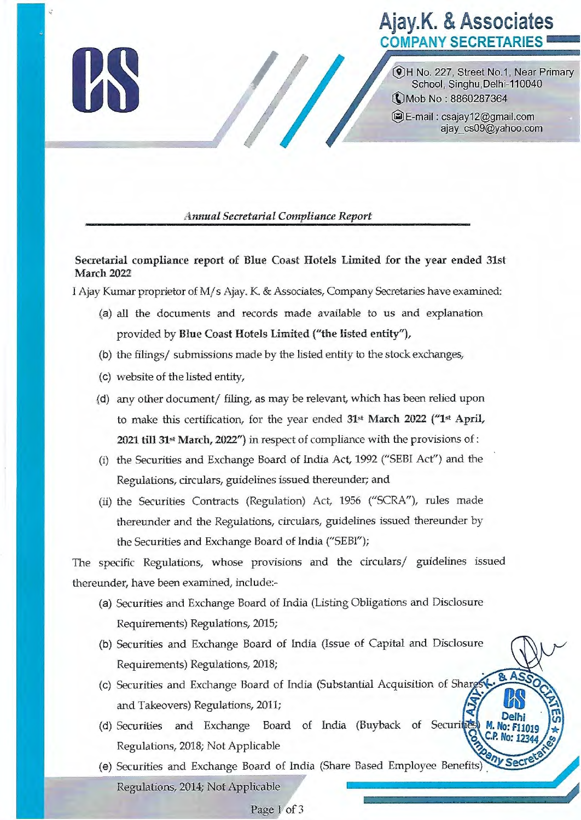# **Ajay.K. & Associates COMPANY SECRETARIES**

@ H No. 227, Street No.1 , Near Primary School, Singhu,Delhi-110040 **(1) Mob No** : **8860287364** 

*1* 

@E::.-mail: csajay12@gmail.com ajay\_cs09@yahoo.com

### *Annual Secretarial Compliance Report*

**Secretarial compliance report of Blue Coast Hotels Limited for the year ended 31st March 2022** 

I Ajay Kumar proprietor of M/ s Ajay. K. & Associates, Company Secretaries have examined:

- (a) all the documents and records made available to us and explanation provided by **Blue Coast Hotels Limited ("the listed entity"),**
- (b) the filings/ submissions made by the listed entity to the stock exchanges,
- (c) website of the listed entity,
- ,(d) any other document/ filing, as may be relevant, which has been relied upon to make this certification, for the year ended **31st March 2022** ("1st **April, 2021 till 31st March, 2022")** in respect of compliance with the provisions of:
- (i) the Securities and Exchange Board of India Act, 1992 (''SEBI Act") and the Regulations, circulars, guidelines issued thereunder; and
- (ii) the Securities Contracts (Regulation) Act, 1956 ("SCRA"), rules made thereunder and the Regulations, circulars, guidelines issued thereunder by the Securities and Exchange Board of India ("SEBI");

The specific Regulations, whose provisions and the circulars/ guidelines issued thereunder, have been examined, include:-

- (a) Securities and Exchange Board of India (Listing Obligations and Disclosure Requirements) Regulations, 2015;
- (b) Securities and Exchange Board of India (Issue of Capital and Disclosure Requirements) Regulations, 2018;
- (c) Securities and Exchange Board of India (Substantial Acquisition of Sharg and Takeovers) Regulations, 2011;
- (d) Securities and Exchange Board of India (Buyback of Securi Regulations, 2018; Not Applicable
- (e) Securities and Exchange Board of India (Share Based Employee Benefits)<br>Regulations, 2014; Not Applicable

#### Page 1 of 3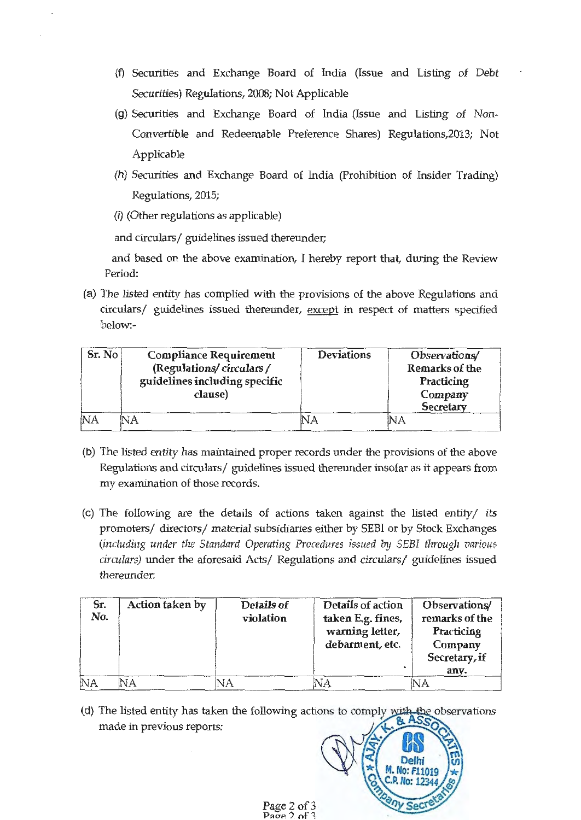- {f) Securities and Exchange Board of India (Issue and Listing of Debt Securities) Regulations, 2008; Not Applicable
- (g) Securities and Exchange Board of India (Issue and Listing of Non-Convertible and Redeemable Preference Shares) Regulations,2013; Not Applicable
- (h) Securities and Exchange Board of India (Prohibition of Insider Trading) Regulations, 2015;
- (i) (Other regulations as applicable)

and circulars/ guidelines issued thereunder;

and based on the above examination, I hereby report that, during the Review Period:

(a) The listed entity has complied with the provisions of the above Regulations and circulars/ guidelines issued thereunder, except in respect of matters specified below:-

| Sr. No | <b>Compliance Requirement</b><br>(Regulations/circulars/ | <b>Deviations</b> | Observations/<br><b>Remarks of the</b> |
|--------|----------------------------------------------------------|-------------------|----------------------------------------|
|        | guidelines including specific<br>clause)                 |                   | Practicing<br>Company<br>Secretary     |
| 'NΑ    |                                                          |                   | NA                                     |

- **(b)** The listed entity has maintained proper records under the provisions of the above Regulations and circulars/ guidelines issued thereunder insofar as it appears from my examination of those records.
- (c) The following are the details of actions taken against the listed entity/ its promoters/ directors/ material subsidiaries either by SEBI or by Stock Exchanges (including under the Standard Operating Procedures issued by SEBI through various circulars) under the aforesaid Acts/ Regulations and circulars/ guidelines issued thereunder:

| Sr.<br>No. | Action taken by | Details of<br>violation | Details of action<br>taken E.g. fines,<br>warning letter,<br>debarment, etc. | Observations/<br>remarks of the<br>Practicing<br>Company<br>Secretary, if<br>anv. |
|------------|-----------------|-------------------------|------------------------------------------------------------------------------|-----------------------------------------------------------------------------------|
| NA         |                 | JA                      |                                                                              |                                                                                   |

(d) The listed entity has taken the following actons to comply with the observations made in previous reports: